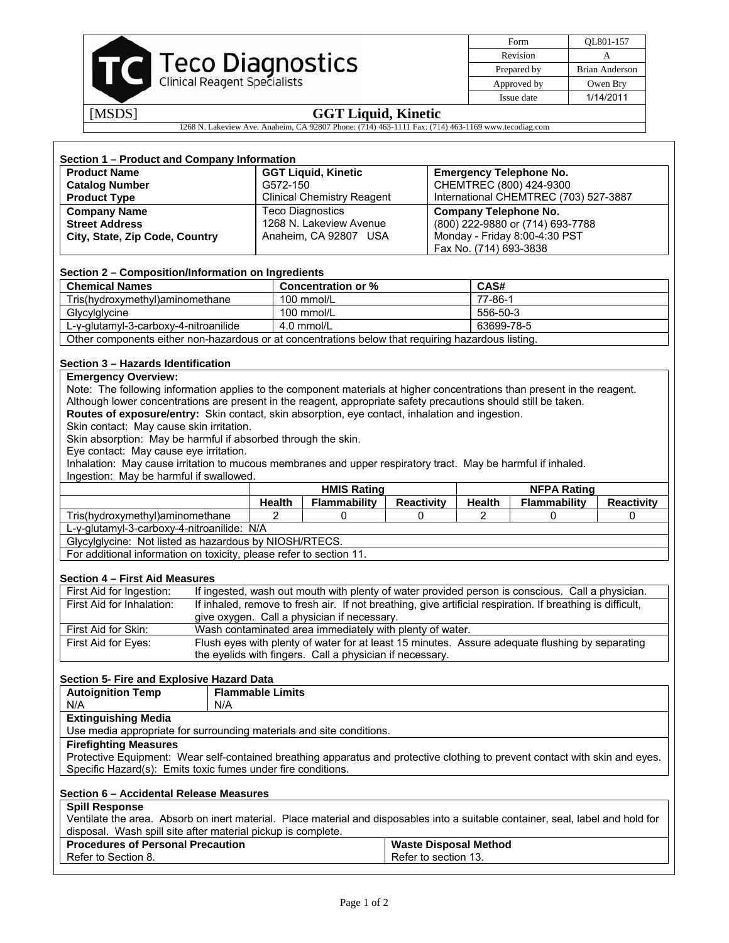

| Form        | OL801-157      |
|-------------|----------------|
| Revision    |                |
| Prepared by | Brian Anderson |
| Approved by | Owen Bry       |
| Issue date  | 1/14/2011      |

# [MSDS] **GGT Liquid, Kinetic**

1268 N. Lakeview Ave. Anaheim, CA 92807 Phone: (714) 463-1111 Fax: (714) 463-1169 www.tecodiag.com

| <b>Product Name</b>            | <b>GGT Liquid, Kinetic</b>        | <b>Emergency Telephone No.</b>        |
|--------------------------------|-----------------------------------|---------------------------------------|
| <b>Catalog Number</b>          | G572-150                          | CHEMTREC (800) 424-9300               |
| <b>Product Type</b>            | <b>Clinical Chemistry Reagent</b> | International CHEMTREC (703) 527-3887 |
| <b>Company Name</b>            | <b>Teco Diagnostics</b>           | Company Telephone No.                 |
| <b>Street Address</b>          | 1268 N. Lakeview Avenue           | (800) 222-9880 or (714) 693-7788      |
| City, State, Zip Code, Country | Anaheim, CA 92807 USA             | Monday - Friday 8:00-4:30 PST         |
|                                |                                   | Fax No. (714) 693-3838                |

# **Section 2 – Composition/Information on Ingredients**

| <b>Chemical Names</b>                                                                              | <b>Concentration or %</b> | CAS#     |  |  |
|----------------------------------------------------------------------------------------------------|---------------------------|----------|--|--|
| Tris(hydroxymethyl)aminomethane                                                                    | 100 mmol/L                | 77-86-1  |  |  |
| Glycylglycine                                                                                      | 100 mmol/L                | 556-50-3 |  |  |
| 63699-78-5<br>$L-y$ -glutamyl-3-carboxy-4-nitroanilide<br>4.0 mmol/L                               |                           |          |  |  |
| Other components either non-hazardous or at concentrations below that requiring hazardous listing. |                           |          |  |  |

# **Section 3 – Hazards Identification**

# **Emergency Overview:**

Note: The following information applies to the component materials at higher concentrations than present in the reagent. Although lower concentrations are present in the reagent, appropriate safety precautions should still be taken.

**Routes of exposure/entry:** Skin contact, skin absorption, eye contact, inhalation and ingestion.

Skin contact: May cause skin irritation.

Skin absorption: May be harmful if absorbed through the skin.

Eye contact: May cause eye irritation.

Inhalation: May cause irritation to mucous membranes and upper respiratory tract. May be harmful if inhaled. Ingestion: May be harmful if swallowed.

|                                                                                                                                         | <b>HMIS Rating</b>                                       |                     | <b>NFPA Rating</b>           |                |                     |                   |
|-----------------------------------------------------------------------------------------------------------------------------------------|----------------------------------------------------------|---------------------|------------------------------|----------------|---------------------|-------------------|
|                                                                                                                                         | <b>Health</b>                                            | <b>Flammability</b> | <b>Reactivity</b>            | <b>Health</b>  | <b>Flammability</b> | <b>Reactivity</b> |
| Tris(hydroxymethyl)aminomethane                                                                                                         | $\overline{2}$                                           | $\Omega$            | 0                            | $\overline{2}$ | $\Omega$            | 0                 |
|                                                                                                                                         | L-y-glutamyl-3-carboxy-4-nitroanilide: N/A               |                     |                              |                |                     |                   |
| Glycylglycine: Not listed as hazardous by NIOSH/RTECS.                                                                                  |                                                          |                     |                              |                |                     |                   |
| For additional information on toxicity, please refer to section 11.                                                                     |                                                          |                     |                              |                |                     |                   |
| Section 4 - First Aid Measures                                                                                                          |                                                          |                     |                              |                |                     |                   |
| If ingested, wash out mouth with plenty of water provided person is conscious. Call a physician.<br>First Aid for Ingestion:            |                                                          |                     |                              |                |                     |                   |
| If inhaled, remove to fresh air. If not breathing, give artificial respiration. If breathing is difficult,<br>First Aid for Inhalation: |                                                          |                     |                              |                |                     |                   |
| give oxygen. Call a physician if necessary.                                                                                             |                                                          |                     |                              |                |                     |                   |
| First Aid for Skin:<br>Wash contaminated area immediately with plenty of water.                                                         |                                                          |                     |                              |                |                     |                   |
| Flush eyes with plenty of water for at least 15 minutes. Assure adequate flushing by separating<br>First Aid for Eyes:                  |                                                          |                     |                              |                |                     |                   |
|                                                                                                                                         | the eyelids with fingers. Call a physician if necessary. |                     |                              |                |                     |                   |
| Section 5- Fire and Explosive Hazard Data                                                                                               |                                                          |                     |                              |                |                     |                   |
| <b>Autoignition Temp</b>                                                                                                                | <b>Flammable Limits</b>                                  |                     |                              |                |                     |                   |
| N/A<br>N/A                                                                                                                              |                                                          |                     |                              |                |                     |                   |
| <b>Extinguishing Media</b>                                                                                                              |                                                          |                     |                              |                |                     |                   |
| Use media appropriate for surrounding materials and site conditions.                                                                    |                                                          |                     |                              |                |                     |                   |
| <b>Firefighting Measures</b>                                                                                                            |                                                          |                     |                              |                |                     |                   |
| Protective Equipment: Wear self-contained breathing apparatus and protective clothing to prevent contact with skin and eyes.            |                                                          |                     |                              |                |                     |                   |
| Specific Hazard(s): Emits toxic fumes under fire conditions.                                                                            |                                                          |                     |                              |                |                     |                   |
| Section 6 - Accidental Release Measures                                                                                                 |                                                          |                     |                              |                |                     |                   |
| <b>Spill Response</b>                                                                                                                   |                                                          |                     |                              |                |                     |                   |
| Ventilate the area. Absorb on inert material. Place material and disposables into a suitable container, seal, label and hold for        |                                                          |                     |                              |                |                     |                   |
| disposal. Wash spill site after material pickup is complete.                                                                            |                                                          |                     |                              |                |                     |                   |
| <b>Procedures of Personal Precaution</b>                                                                                                |                                                          |                     | <b>Waste Disposal Method</b> |                |                     |                   |
| Refer to Section 8.                                                                                                                     |                                                          |                     | Refer to section 13.         |                |                     |                   |